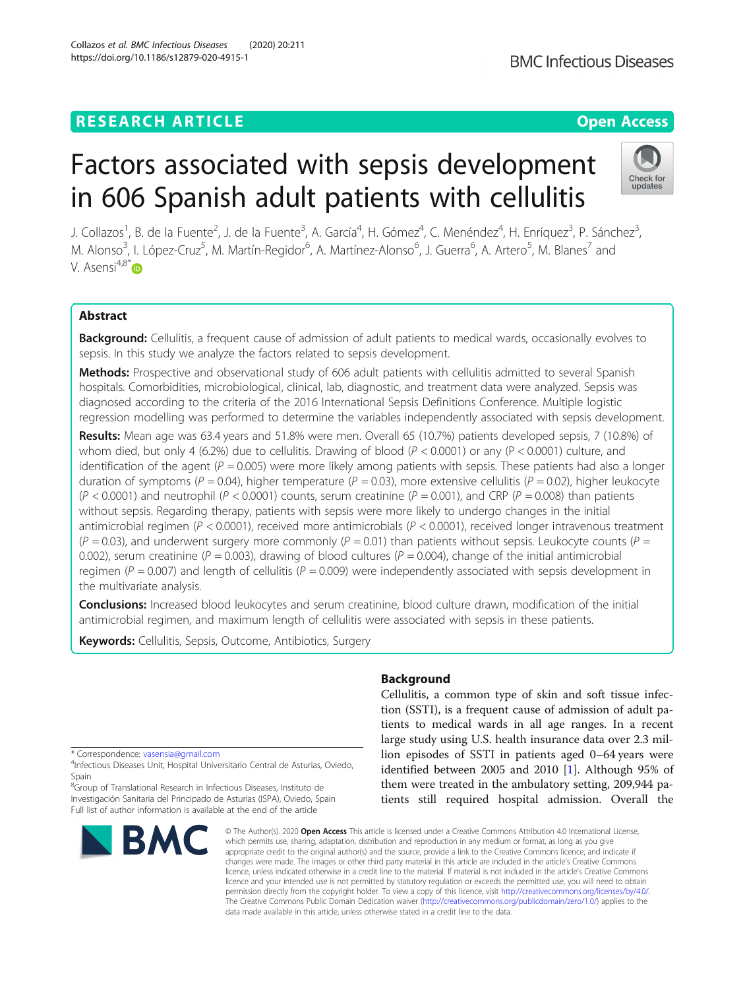## **RESEARCH ARTICLE Example 2014 12:30 The Contract of Contract ACCESS**

# Factors associated with sepsis development in 606 Spanish adult patients with cellulitis

J. Collazos<sup>1</sup>, B. de la Fuente<sup>2</sup>, J. de la Fuente<sup>3</sup>, A. García<sup>4</sup>, H. Gómez<sup>4</sup>, C. Menéndez<sup>4</sup>, H. Enríquez<sup>3</sup>, P. Sánchez<sup>3</sup> , M. Alonso<sup>3</sup>, I. López-Cruz<sup>5</sup>, M. Martín-Regidor<sup>6</sup>, A. Martínez-Alonso<sup>6</sup>, J. Guerra<sup>6</sup>, A. Artero<sup>5</sup>, M. Blanes<sup>7</sup> and V. Asensi $4.8*$  $4.8*$ 

## Abstract

**Background:** Cellulitis, a frequent cause of admission of adult patients to medical wards, occasionally evolves to sepsis. In this study we analyze the factors related to sepsis development.

Methods: Prospective and observational study of 606 adult patients with cellulitis admitted to several Spanish hospitals. Comorbidities, microbiological, clinical, lab, diagnostic, and treatment data were analyzed. Sepsis was diagnosed according to the criteria of the 2016 International Sepsis Definitions Conference. Multiple logistic regression modelling was performed to determine the variables independently associated with sepsis development.

Results: Mean age was 63.4 years and 51.8% were men. Overall 65 (10.7%) patients developed sepsis, 7 (10.8%) of whom died, but only 4 (6.2%) due to cellulitis. Drawing of blood ( $P < 0.0001$ ) or any ( $P < 0.0001$ ) culture, and identification of the agent ( $P = 0.005$ ) were more likely among patients with sepsis. These patients had also a longer duration of symptoms ( $P = 0.04$ ), higher temperature ( $P = 0.03$ ), more extensive cellulitis ( $P = 0.02$ ), higher leukocyte  $(P < 0.0001)$  and neutrophil  $(P < 0.0001)$  counts, serum creatinine  $(P = 0.001)$ , and CRP  $(P = 0.008)$  than patients without sepsis. Regarding therapy, patients with sepsis were more likely to undergo changes in the initial antimicrobial regimen ( $P < 0.0001$ ), received more antimicrobials ( $P < 0.0001$ ), received longer intravenous treatment  $(P = 0.03)$ , and underwent surgery more commonly  $(P = 0.01)$  than patients without sepsis. Leukocyte counts  $(P = 0.03)$ 0.002), serum creatinine (P = 0.003), drawing of blood cultures (P = 0.004), change of the initial antimicrobial regimen ( $P = 0.007$ ) and length of cellulitis ( $P = 0.009$ ) were independently associated with sepsis development in the multivariate analysis.

Conclusions: Increased blood leukocytes and serum creatinine, blood culture drawn, modification of the initial antimicrobial regimen, and maximum length of cellulitis were associated with sepsis in these patients.

Keywords: Cellulitis, Sepsis, Outcome, Antibiotics, Surgery

#### \* Correspondence: [vasensia@gmail.com](mailto:vasensia@gmail.com) <sup>4</sup>

Investigación Sanitaria del Principado de Asturias (ISPA), Oviedo, Spain

## Background

Cellulitis, a common type of skin and soft tissue infection (SSTI), is a frequent cause of admission of adult patients to medical wards in all age ranges. In a recent large study using U.S. health insurance data over 2.3 million episodes of SSTI in patients aged 0–64 years were identified between 2005 and 2010 [[1\]](#page-10-0). Although 95% of them were treated in the ambulatory setting, 209,944 patients still required hospital admission. Overall the

© The Author(s), 2020 **Open Access** This article is licensed under a Creative Commons Attribution 4.0 International License, which permits use, sharing, adaptation, distribution and reproduction in any medium or format, as long as you give appropriate credit to the original author(s) and the source, provide a link to the Creative Commons licence, and indicate if changes were made. The images or other third party material in this article are included in the article's Creative Commons licence, unless indicated otherwise in a credit line to the material. If material is not included in the article's Creative Commons licence and your intended use is not permitted by statutory regulation or exceeds the permitted use, you will need to obtain permission directly from the copyright holder. To view a copy of this licence, visit [http://creativecommons.org/licenses/by/4.0/.](http://creativecommons.org/licenses/by/4.0/) The Creative Commons Public Domain Dedication waiver [\(http://creativecommons.org/publicdomain/zero/1.0/](http://creativecommons.org/publicdomain/zero/1.0/)) applies to the data made available in this article, unless otherwise stated in a credit line to the data.

<sup>4</sup>Infectious Diseases Unit, Hospital Universitario Central de Asturias, Oviedo, Spain

<sup>8</sup> Group of Translational Research in Infectious Diseases, Instituto de Full list of author information is available at the end of the article



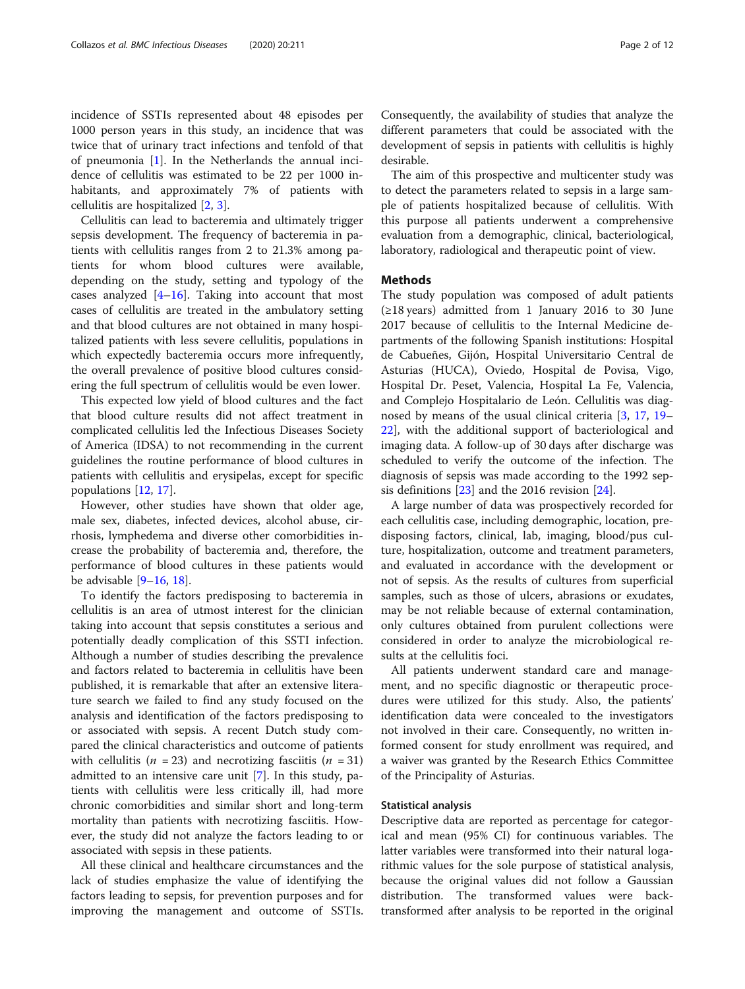incidence of SSTIs represented about 48 episodes per 1000 person years in this study, an incidence that was twice that of urinary tract infections and tenfold of that of pneumonia [[1\]](#page-10-0). In the Netherlands the annual incidence of cellulitis was estimated to be 22 per 1000 inhabitants, and approximately 7% of patients with cellulitis are hospitalized [[2](#page-10-0), [3](#page-10-0)].

Cellulitis can lead to bacteremia and ultimately trigger sepsis development. The frequency of bacteremia in patients with cellulitis ranges from 2 to 21.3% among patients for whom blood cultures were available, depending on the study, setting and typology of the cases analyzed  $[4-16]$  $[4-16]$  $[4-16]$  $[4-16]$  $[4-16]$ . Taking into account that most cases of cellulitis are treated in the ambulatory setting and that blood cultures are not obtained in many hospitalized patients with less severe cellulitis, populations in which expectedly bacteremia occurs more infrequently, the overall prevalence of positive blood cultures considering the full spectrum of cellulitis would be even lower.

This expected low yield of blood cultures and the fact that blood culture results did not affect treatment in complicated cellulitis led the Infectious Diseases Society of America (IDSA) to not recommending in the current guidelines the routine performance of blood cultures in patients with cellulitis and erysipelas, except for specific populations [[12](#page-10-0), [17](#page-10-0)].

However, other studies have shown that older age, male sex, diabetes, infected devices, alcohol abuse, cirrhosis, lymphedema and diverse other comorbidities increase the probability of bacteremia and, therefore, the performance of blood cultures in these patients would be advisable  $[9-16, 18]$  $[9-16, 18]$  $[9-16, 18]$  $[9-16, 18]$  $[9-16, 18]$ .

To identify the factors predisposing to bacteremia in cellulitis is an area of utmost interest for the clinician taking into account that sepsis constitutes a serious and potentially deadly complication of this SSTI infection. Although a number of studies describing the prevalence and factors related to bacteremia in cellulitis have been published, it is remarkable that after an extensive literature search we failed to find any study focused on the analysis and identification of the factors predisposing to or associated with sepsis. A recent Dutch study compared the clinical characteristics and outcome of patients with cellulitis ( $n = 23$ ) and necrotizing fasciitis ( $n = 31$ ) admitted to an intensive care unit [\[7](#page-10-0)]. In this study, patients with cellulitis were less critically ill, had more chronic comorbidities and similar short and long-term mortality than patients with necrotizing fasciitis. However, the study did not analyze the factors leading to or associated with sepsis in these patients.

All these clinical and healthcare circumstances and the lack of studies emphasize the value of identifying the factors leading to sepsis, for prevention purposes and for improving the management and outcome of SSTIs.

Consequently, the availability of studies that analyze the different parameters that could be associated with the development of sepsis in patients with cellulitis is highly desirable.

The aim of this prospective and multicenter study was to detect the parameters related to sepsis in a large sample of patients hospitalized because of cellulitis. With this purpose all patients underwent a comprehensive evaluation from a demographic, clinical, bacteriological, laboratory, radiological and therapeutic point of view.

### Methods

The study population was composed of adult patients (≥18 years) admitted from 1 January 2016 to 30 June 2017 because of cellulitis to the Internal Medicine departments of the following Spanish institutions: Hospital de Cabueñes, Gijón, Hospital Universitario Central de Asturias (HUCA), Oviedo, Hospital de Povisa, Vigo, Hospital Dr. Peset, Valencia, Hospital La Fe, Valencia, and Complejo Hospitalario de León. Cellulitis was diagnosed by means of the usual clinical criteria [[3](#page-10-0), [17](#page-10-0), [19](#page-11-0)– [22\]](#page-11-0), with the additional support of bacteriological and imaging data. A follow-up of 30 days after discharge was scheduled to verify the outcome of the infection. The diagnosis of sepsis was made according to the 1992 sepsis definitions [[23\]](#page-11-0) and the 2016 revision [\[24](#page-11-0)].

A large number of data was prospectively recorded for each cellulitis case, including demographic, location, predisposing factors, clinical, lab, imaging, blood/pus culture, hospitalization, outcome and treatment parameters, and evaluated in accordance with the development or not of sepsis. As the results of cultures from superficial samples, such as those of ulcers, abrasions or exudates, may be not reliable because of external contamination, only cultures obtained from purulent collections were considered in order to analyze the microbiological results at the cellulitis foci.

All patients underwent standard care and management, and no specific diagnostic or therapeutic procedures were utilized for this study. Also, the patients' identification data were concealed to the investigators not involved in their care. Consequently, no written informed consent for study enrollment was required, and a waiver was granted by the Research Ethics Committee of the Principality of Asturias.

#### Statistical analysis

Descriptive data are reported as percentage for categorical and mean (95% CI) for continuous variables. The latter variables were transformed into their natural logarithmic values for the sole purpose of statistical analysis, because the original values did not follow a Gaussian distribution. The transformed values were backtransformed after analysis to be reported in the original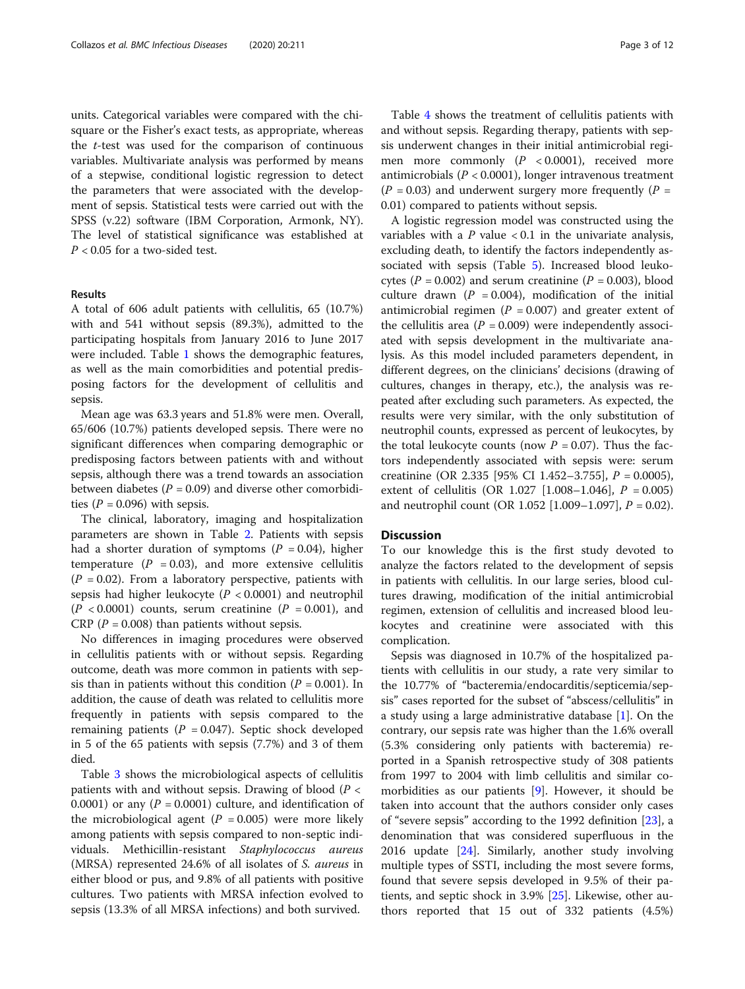units. Categorical variables were compared with the chisquare or the Fisher's exact tests, as appropriate, whereas the t-test was used for the comparison of continuous variables. Multivariate analysis was performed by means of a stepwise, conditional logistic regression to detect the parameters that were associated with the development of sepsis. Statistical tests were carried out with the SPSS (v.22) software (IBM Corporation, Armonk, NY). The level of statistical significance was established at  $P < 0.05$  for a two-sided test.

#### Results

A total of 606 adult patients with cellulitis, 65 (10.7%) with and 541 without sepsis (89.3%), admitted to the participating hospitals from January 2016 to June 2017 were included. Table [1](#page-3-0) shows the demographic features, as well as the main comorbidities and potential predisposing factors for the development of cellulitis and sepsis.

Mean age was 63.3 years and 51.8% were men. Overall, 65/606 (10.7%) patients developed sepsis. There were no significant differences when comparing demographic or predisposing factors between patients with and without sepsis, although there was a trend towards an association between diabetes ( $P = 0.09$ ) and diverse other comorbidities ( $P = 0.096$ ) with sepsis.

The clinical, laboratory, imaging and hospitalization parameters are shown in Table [2](#page-5-0). Patients with sepsis had a shorter duration of symptoms ( $P = 0.04$ ), higher temperature ( $P = 0.03$ ), and more extensive cellulitis  $(P = 0.02)$ . From a laboratory perspective, patients with sepsis had higher leukocyte ( $P < 0.0001$ ) and neutrophil  $(P < 0.0001)$  counts, serum creatinine  $(P = 0.001)$ , and CRP ( $P = 0.008$ ) than patients without sepsis.

No differences in imaging procedures were observed in cellulitis patients with or without sepsis. Regarding outcome, death was more common in patients with sepsis than in patients without this condition ( $P = 0.001$ ). In addition, the cause of death was related to cellulitis more frequently in patients with sepsis compared to the remaining patients ( $P = 0.047$ ). Septic shock developed in 5 of the 65 patients with sepsis (7.7%) and 3 of them died.

Table [3](#page-7-0) shows the microbiological aspects of cellulitis patients with and without sepsis. Drawing of blood ( $P <$ 0.0001) or any ( $P = 0.0001$ ) culture, and identification of the microbiological agent ( $P = 0.005$ ) were more likely among patients with sepsis compared to non-septic individuals. Methicillin-resistant Staphylococcus aureus (MRSA) represented 24.6% of all isolates of S. aureus in either blood or pus, and 9.8% of all patients with positive cultures. Two patients with MRSA infection evolved to sepsis (13.3% of all MRSA infections) and both survived.

Table [4](#page-9-0) shows the treatment of cellulitis patients with and without sepsis. Regarding therapy, patients with sepsis underwent changes in their initial antimicrobial regimen more commonly  $(P < 0.0001)$ , received more antimicrobials ( $P < 0.0001$ ), longer intravenous treatment  $(P = 0.03)$  and underwent surgery more frequently  $(P = 0.03)$ 0.01) compared to patients without sepsis.

A logistic regression model was constructed using the variables with a  $P$  value  $< 0.1$  in the univariate analysis, excluding death, to identify the factors independently associated with sepsis (Table [5](#page-10-0)). Increased blood leukocytes ( $P = 0.002$ ) and serum creatinine ( $P = 0.003$ ), blood culture drawn ( $P = 0.004$ ), modification of the initial antimicrobial regimen ( $P = 0.007$ ) and greater extent of the cellulitis area ( $P = 0.009$ ) were independently associated with sepsis development in the multivariate analysis. As this model included parameters dependent, in different degrees, on the clinicians' decisions (drawing of cultures, changes in therapy, etc.), the analysis was repeated after excluding such parameters. As expected, the results were very similar, with the only substitution of neutrophil counts, expressed as percent of leukocytes, by the total leukocyte counts (now  $P = 0.07$ ). Thus the factors independently associated with sepsis were: serum creatinine (OR 2.335 [95% CI 1.452–3.755], P = 0.0005), extent of cellulitis (OR 1.027 [1.008–1.046],  $P = 0.005$ ) and neutrophil count (OR 1.052 [1.009–1.097],  $P = 0.02$ ).

#### Discussion

To our knowledge this is the first study devoted to analyze the factors related to the development of sepsis in patients with cellulitis. In our large series, blood cultures drawing, modification of the initial antimicrobial regimen, extension of cellulitis and increased blood leukocytes and creatinine were associated with this complication.

Sepsis was diagnosed in 10.7% of the hospitalized patients with cellulitis in our study, a rate very similar to the 10.77% of "bacteremia/endocarditis/septicemia/sepsis" cases reported for the subset of "abscess/cellulitis" in a study using a large administrative database [[1\]](#page-10-0). On the contrary, our sepsis rate was higher than the 1.6% overall (5.3% considering only patients with bacteremia) reported in a Spanish retrospective study of 308 patients from 1997 to 2004 with limb cellulitis and similar comorbidities as our patients [[9\]](#page-10-0). However, it should be taken into account that the authors consider only cases of "severe sepsis" according to the 1992 definition [\[23\]](#page-11-0), a denomination that was considered superfluous in the 2016 update [\[24](#page-11-0)]. Similarly, another study involving multiple types of SSTI, including the most severe forms, found that severe sepsis developed in 9.5% of their patients, and septic shock in 3.9% [\[25](#page-11-0)]. Likewise, other authors reported that 15 out of 332 patients (4.5%)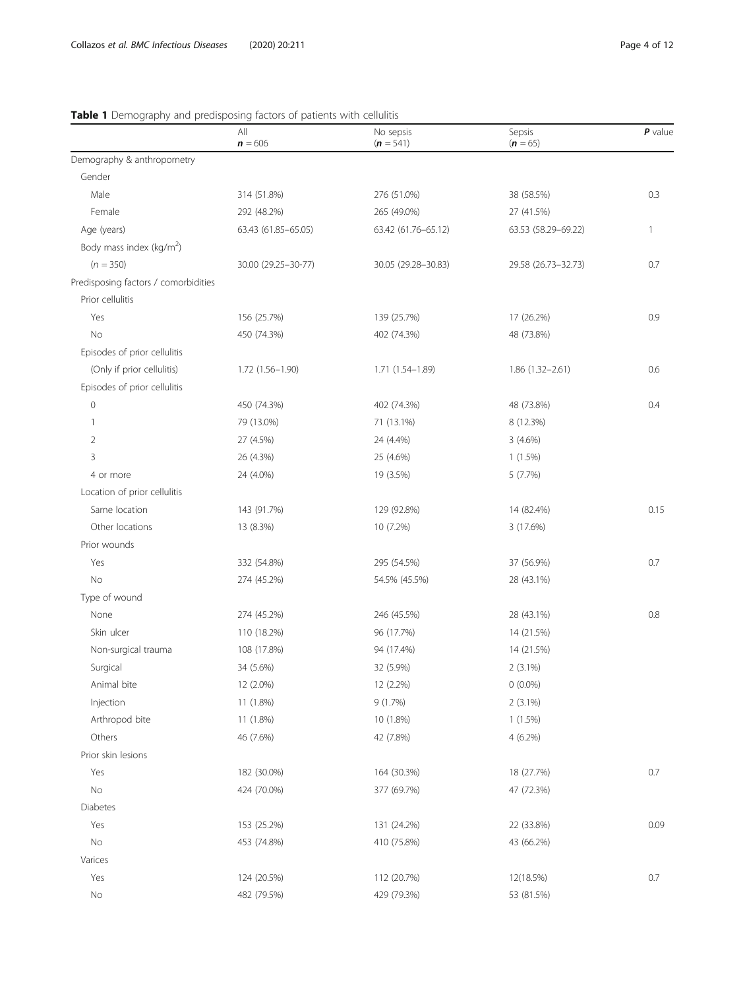## All  $n = 606$ No sepsis  $(n = 541)$ Sepsis  $(n = 65)$ P value Demography & anthropometry Gender Male 314 (51.8%) 314 (51.8%) 276 (51.0%) 38 (58.5%) 38 (58.5%) 0.3 Female 292 (48.2%) 265 (49.0%) 27 (41.5%) Age (years) 63.43 (61.85–65.05) 63.42 (61.76–65.12) 63.53 (58.29–69.22) 1 Body mass index (kg/m<sup>2</sup>) (n = 350) 30.00 (29.25–30-77) 30.05 (29.28–30.83) 29.58 (26.73–32.73) 0.7 Predisposing factors / comorbidities Prior cellulitis Yes 156 (25.7%) 156 (25.7%) 139 (25.7%) 139 (25.7%) 17 (26.2%) 17 (26.2%) No 450 (74.3%) 402 (74.3%) 48 (73.8%) Episodes of prior cellulitis (Only if prior cellulitis) 1.72 (1.56–1.90) 1.71 (1.54–1.89) 1.86 (1.32–2.61) 0.6 Episodes of prior cellulitis 0 450 (74.3%) 460 (74.3%) 402 (74.3%) 48 (73.8%) 48 (73.8%) 48 1 79 (13.0%) 71 (13.1%) 8 (12.3%) 2 2 2 2 2 2 2 2 2 2 3 (4.5%) 3 26 (4.3%) 25 (4.6%) 1 (1.5%) 4 or more 24 (4.0%) 19 (3.5%) 5 (7.7%) Location of prior cellulitis Same location 143 (91.7%) 129 (92.8%) 129 (92.8%) 128 (92.8%) 14 (82.4%) 14 (82.4%) Other locations 13 (8.3%) 10 (7.2%) 3 (17.6%) Prior wounds Yes 332 (54.8%) 295 (54.5%) 37 (56.9%) 0.7 No 274 (45.2%) 54.5% (45.5%) 28 (43.1%) Type of wound None 274 (45.2%) 28 (43.1%) 28 (43.1%) 28 (43.1%) Skin ulcer 110 (18.2%) 110 (18.2%) 96 (17.7%) 14 (21.5%) Non-surgical trauma 108 (17.8%) 94 (17.4%) 14 (21.5%) Surgical 34 (5.6%) 32 (5.9%) 2 (3.1%) Animal bite 12 (2.0%) 12 (2.0%) 12 (2.2%) 12 (2.2%) 0 (0.0%) Injection 11 (1.8%) 9 (1.7%) 2 (3.1%) Arthropod bite 11 (1.8%) 10 (1.8%) 10 (1.8%) 10 (1.8%) 1 (1.5%) Others 46 (7.6%) 42 (7.8%) 4 (6.2%) Prior skin lesions Yes 182 (30.0%) 164 (30.3%) 18 (27.7%) 0.7 No 424 (70.0%) 377 (69.7%) 47 (72.3%) Diabetes Yes 153 (25.2%) 131 (24.2%) 22 (33.8%) 0.09 No 453 (74.8%) 410 (75.8%) 43 (66.2%) Varices Yes 124 (20.5%) 112 (20.7%) 12(18.5%) 0.7 No 482 (79.5%) 429 (79.3%) 53 (81.5%)

## <span id="page-3-0"></span>Table 1 Demography and predisposing factors of patients with cellulitis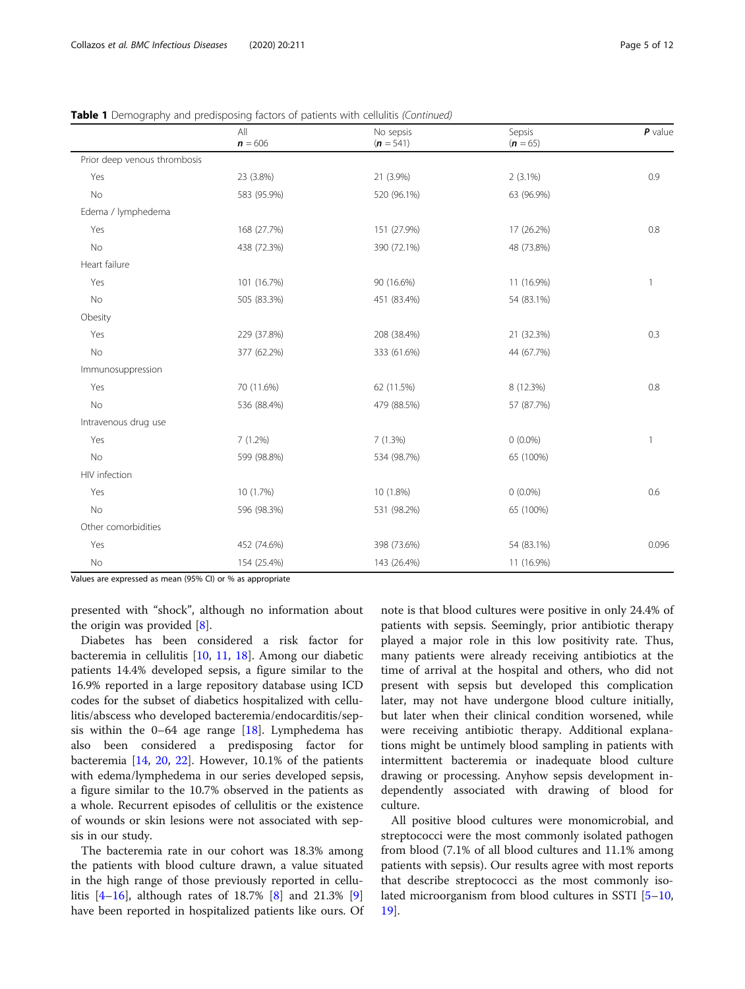|                              | All<br>$n = 606$ | No sepsis<br>$(n = 541)$ | Sepsis<br>$(n = 65)$ | $P$ value      |
|------------------------------|------------------|--------------------------|----------------------|----------------|
| Prior deep venous thrombosis |                  |                          |                      |                |
| Yes                          | 23 (3.8%)        | 21 (3.9%)                | $2(3.1\%)$           | 0.9            |
| No                           | 583 (95.9%)      | 520 (96.1%)              | 63 (96.9%)           |                |
| Edema / lymphedema           |                  |                          |                      |                |
| Yes                          | 168 (27.7%)      | 151 (27.9%)              | 17 (26.2%)           | 0.8            |
| No                           | 438 (72.3%)      | 390 (72.1%)              | 48 (73.8%)           |                |
| Heart failure                |                  |                          |                      |                |
| Yes                          | 101 (16.7%)      | 90 (16.6%)               | 11 (16.9%)           | $\overline{1}$ |
| No                           | 505 (83.3%)      | 451 (83.4%)              | 54 (83.1%)           |                |
| Obesity                      |                  |                          |                      |                |
| Yes                          | 229 (37.8%)      | 208 (38.4%)              | 21 (32.3%)           | 0.3            |
| No                           | 377 (62.2%)      | 333 (61.6%)              | 44 (67.7%)           |                |
| Immunosuppression            |                  |                          |                      |                |
| Yes                          | 70 (11.6%)       | 62 (11.5%)               | 8 (12.3%)            | 0.8            |
| No                           | 536 (88.4%)      | 479 (88.5%)              | 57 (87.7%)           |                |
| Intravenous drug use         |                  |                          |                      |                |
| Yes                          | 7(1.2%)          | 7(1.3%)                  | $0(0.0\%)$           | $\mathbf{1}$   |
| No                           | 599 (98.8%)      | 534 (98.7%)              | 65 (100%)            |                |
| HIV infection                |                  |                          |                      |                |
| Yes                          | 10 (1.7%)        | 10 (1.8%)                | $0(0.0\%)$           | 0.6            |
| No                           | 596 (98.3%)      | 531 (98.2%)              | 65 (100%)            |                |
| Other comorbidities          |                  |                          |                      |                |
| Yes                          | 452 (74.6%)      | 398 (73.6%)              | 54 (83.1%)           | 0.096          |
| No                           | 154 (25.4%)      | 143 (26.4%)              | 11 (16.9%)           |                |

Table 1 Demography and predisposing factors of patients with cellulitis (Continued)

Values are expressed as mean (95% CI) or % as appropriate

presented with "shock", although no information about the origin was provided [\[8](#page-10-0)].

Diabetes has been considered a risk factor for bacteremia in cellulitis [\[10](#page-10-0), [11,](#page-10-0) [18](#page-11-0)]. Among our diabetic patients 14.4% developed sepsis, a figure similar to the 16.9% reported in a large repository database using ICD codes for the subset of diabetics hospitalized with cellulitis/abscess who developed bacteremia/endocarditis/sepsis within the  $0-64$  age range [\[18](#page-11-0)]. Lymphedema has also been considered a predisposing factor for bacteremia [[14](#page-10-0), [20](#page-11-0), [22](#page-11-0)]. However, 10.1% of the patients with edema/lymphedema in our series developed sepsis, a figure similar to the 10.7% observed in the patients as a whole. Recurrent episodes of cellulitis or the existence of wounds or skin lesions were not associated with sepsis in our study.

The bacteremia rate in our cohort was 18.3% among the patients with blood culture drawn, a value situated in the high range of those previously reported in cellulitis  $[4-16]$  $[4-16]$  $[4-16]$ , although rates of 1[8](#page-10-0).7%  $[8]$  and 21.3%  $[9]$  $[9]$ have been reported in hospitalized patients like ours. Of

note is that blood cultures were positive in only 24.4% of patients with sepsis. Seemingly, prior antibiotic therapy played a major role in this low positivity rate. Thus, many patients were already receiving antibiotics at the time of arrival at the hospital and others, who did not present with sepsis but developed this complication later, may not have undergone blood culture initially, but later when their clinical condition worsened, while were receiving antibiotic therapy. Additional explanations might be untimely blood sampling in patients with intermittent bacteremia or inadequate blood culture drawing or processing. Anyhow sepsis development independently associated with drawing of blood for culture.

All positive blood cultures were monomicrobial, and streptococci were the most commonly isolated pathogen from blood (7.1% of all blood cultures and 11.1% among patients with sepsis). Our results agree with most reports that describe streptococci as the most commonly isolated microorganism from blood cultures in SSTI [[5](#page-10-0)–[10](#page-10-0), [19\]](#page-11-0).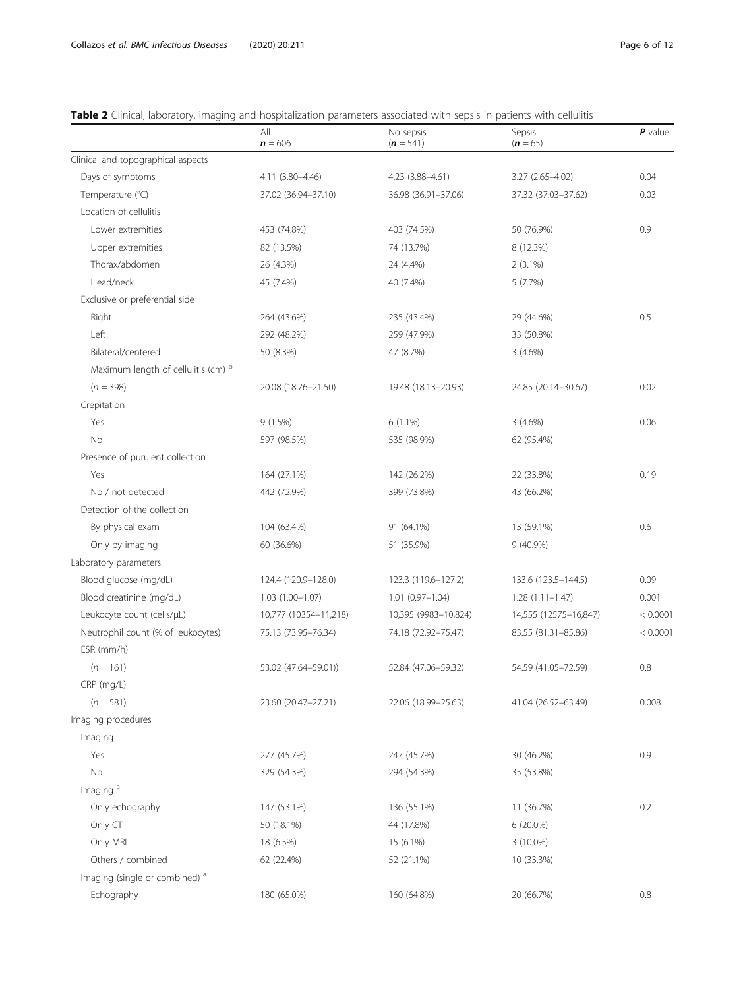## <span id="page-5-0"></span>Table 2 Clinical, laboratory, imaging and hospitalization parameters associated with sepsis in patients with cellulitis

|                                           | All<br>$n = 606$      | No sepsis<br>$(n = 541)$ | Sepsis<br>$(n = 65)$  | $P$ value |
|-------------------------------------------|-----------------------|--------------------------|-----------------------|-----------|
| Clinical and topographical aspects        |                       |                          |                       |           |
| Days of symptoms                          | 4.11 (3.80-4.46)      | 4.23 (3.88-4.61)         | 3.27 (2.65-4.02)      | 0.04      |
| Temperature (°C)                          | 37.02 (36.94-37.10)   | 36.98 (36.91-37.06)      | 37.32 (37.03-37.62)   | 0.03      |
| Location of cellulitis                    |                       |                          |                       |           |
| Lower extremities                         | 453 (74.8%)           | 403 (74.5%)              | 50 (76.9%)            | 0.9       |
| Upper extremities                         | 82 (13.5%)            | 74 (13.7%)               | 8 (12.3%)             |           |
| Thorax/abdomen                            | 26 (4.3%)             | 24 (4.4%)                | $2(3.1\%)$            |           |
| Head/neck                                 | 45 (7.4%)             | 40 (7.4%)                | 5(7.7%)               |           |
| Exclusive or preferential side            |                       |                          |                       |           |
| Right                                     | 264 (43.6%)           | 235 (43.4%)              | 29 (44.6%)            | 0.5       |
| Left                                      | 292 (48.2%)           | 259 (47.9%)              | 33 (50.8%)            |           |
| Bilateral/centered                        | 50 (8.3%)             | 47 (8.7%)                | 3(4.6%)               |           |
| Maximum length of cellulitis (cm) b       |                       |                          |                       |           |
| $(n = 398)$                               | 20.08 (18.76-21.50)   | 19.48 (18.13-20.93)      | 24.85 (20.14-30.67)   | 0.02      |
| Crepitation                               |                       |                          |                       |           |
| Yes                                       | 9(1.5%)               | $6(1.1\%)$               | $3(4.6\%)$            | 0.06      |
| No                                        | 597 (98.5%)           | 535 (98.9%)              | 62 (95.4%)            |           |
| Presence of purulent collection           |                       |                          |                       |           |
| Yes                                       | 164 (27.1%)           | 142 (26.2%)              | 22 (33.8%)            | 0.19      |
| No / not detected                         | 442 (72.9%)           | 399 (73.8%)              | 43 (66.2%)            |           |
| Detection of the collection               |                       |                          |                       |           |
| By physical exam                          | 104 (63.4%)           | 91 (64.1%)               | 13 (59.1%)            | 0.6       |
| Only by imaging                           | 60 (36.6%)            | 51 (35.9%)               | $9(40.9\%)$           |           |
| Laboratory parameters                     |                       |                          |                       |           |
| Blood glucose (mg/dL)                     | 124.4 (120.9-128.0)   | 123.3 (119.6-127.2)      | 133.6 (123.5-144.5)   | 0.09      |
| Blood creatinine (mg/dL)                  | $1.03(1.00-1.07)$     | $1.01(0.97 - 1.04)$      | $1.28(1.11 - 1.47)$   | 0.001     |
| Leukocyte count (cells/µL)                | 10,777 (10354-11,218) | 10,395 (9983-10,824)     | 14,555 (12575-16,847) | < 0.0001  |
| Neutrophil count (% of leukocytes)        | 75.13 (73.95-76.34)   | 74.18 (72.92-75.47)      | 83.55 (81.31-85.86)   | < 0.0001  |
| ESR (mm/h)                                |                       |                          |                       |           |
| $(n = 161)$                               | 53.02 (47.64-59.01))  | 52.84 (47.06-59.32)      | 54.59 (41.05-72.59)   | 0.8       |
| CRP (mg/L)                                |                       |                          |                       |           |
| $(n = 581)$                               | 23.60 (20.47-27.21)   | 22.06 (18.99-25.63)      | 41.04 (26.52-63.49)   | 0.008     |
| Imaging procedures                        |                       |                          |                       |           |
| Imaging                                   |                       |                          |                       |           |
| Yes                                       | 277 (45.7%)           | 247 (45.7%)              | 30 (46.2%)            | 0.9       |
| $\rm No$                                  | 329 (54.3%)           | 294 (54.3%)              | 35 (53.8%)            |           |
| Imaging <sup>a</sup>                      |                       |                          |                       |           |
| Only echography                           | 147 (53.1%)           | 136 (55.1%)              | 11 (36.7%)            | 0.2       |
| Only CT                                   | 50 (18.1%)            | 44 (17.8%)               | $6(20.0\%)$           |           |
| Only MRI                                  | 18 (6.5%)             | 15 (6.1%)                | $3(10.0\%)$           |           |
| Others / combined                         | 62 (22.4%)            | 52 (21.1%)               | 10 (33.3%)            |           |
| Imaging (single or combined) <sup>a</sup> |                       |                          |                       |           |
| Echography                                | 180 (65.0%)           | 160 (64.8%)              | 20 (66.7%)            | 0.8       |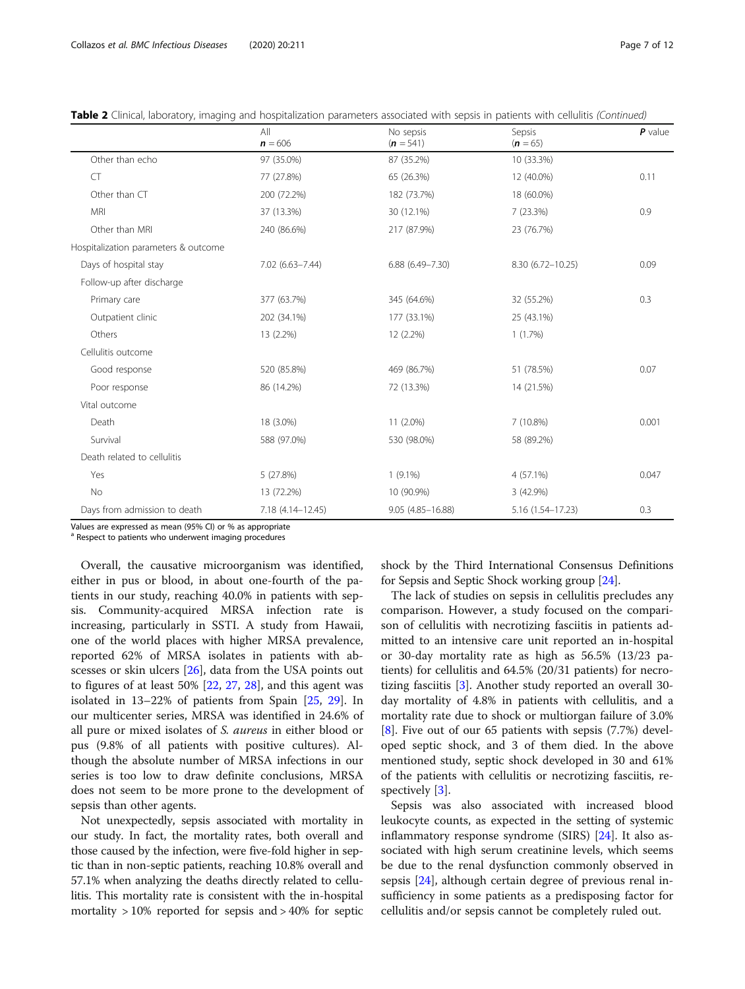|                                      | All<br>$n = 606$  | No sepsis<br>$(n = 541)$ | Sepsis<br>$(n = 65)$ | $P$ value |
|--------------------------------------|-------------------|--------------------------|----------------------|-----------|
| Other than echo                      | 97 (35.0%)        | 87 (35.2%)               | 10 (33.3%)           |           |
| CT                                   | 77 (27.8%)        | 65 (26.3%)               | 12 (40.0%)           | 0.11      |
| Other than CT                        | 200 (72.2%)       | 182 (73.7%)              | 18 (60.0%)           |           |
| <b>MRI</b>                           | 37 (13.3%)        | 30 (12.1%)               | 7(23.3%)             | 0.9       |
| Other than MRI                       | 240 (86.6%)       | 217 (87.9%)              | 23 (76.7%)           |           |
| Hospitalization parameters & outcome |                   |                          |                      |           |
| Days of hospital stay                | 7.02 (6.63-7.44)  | $6.88(6.49 - 7.30)$      | 8.30 (6.72-10.25)    | 0.09      |
| Follow-up after discharge            |                   |                          |                      |           |
| Primary care                         | 377 (63.7%)       | 345 (64.6%)              | 32 (55.2%)           | 0.3       |
| Outpatient clinic                    | 202 (34.1%)       | 177 (33.1%)              | 25 (43.1%)           |           |
| Others                               | 13 (2.2%)         | 12 (2.2%)                | $1(1.7\%)$           |           |
| Cellulitis outcome                   |                   |                          |                      |           |
| Good response                        | 520 (85.8%)       | 469 (86.7%)              | 51 (78.5%)           | 0.07      |
| Poor response                        | 86 (14.2%)        | 72 (13.3%)               | 14 (21.5%)           |           |
| Vital outcome                        |                   |                          |                      |           |
| Death                                | 18 (3.0%)         | 11 (2.0%)                | 7 (10.8%)            | 0.001     |
| Survival                             | 588 (97.0%)       | 530 (98.0%)              | 58 (89.2%)           |           |
| Death related to cellulitis          |                   |                          |                      |           |
| Yes                                  | 5 (27.8%)         | $1(9.1\%)$               | 4 (57.1%)            | 0.047     |
| No                                   | 13 (72.2%)        | 10 (90.9%)               | 3 (42.9%)            |           |
| Days from admission to death         | 7.18 (4.14-12.45) | $9.05(4.85 - 16.88)$     | 5.16 (1.54-17.23)    | 0.3       |

Table 2 Clinical, laboratory, imaging and hospitalization parameters associated with sepsis in patients with cellulitis (Continued)

Values are expressed as mean (95% CI) or % as appropriate

<sup>a</sup> Respect to patients who underwent imaging procedures

Overall, the causative microorganism was identified, either in pus or blood, in about one-fourth of the patients in our study, reaching 40.0% in patients with sepsis. Community-acquired MRSA infection rate is increasing, particularly in SSTI. A study from Hawaii, one of the world places with higher MRSA prevalence, reported 62% of MRSA isolates in patients with ab-scesses or skin ulcers [[26](#page-11-0)], data from the USA points out to figures of at least 50% [\[22](#page-11-0), [27](#page-11-0), [28](#page-11-0)], and this agent was isolated in 13–22% of patients from Spain [[25,](#page-11-0) [29](#page-11-0)]. In our multicenter series, MRSA was identified in 24.6% of all pure or mixed isolates of S. aureus in either blood or pus (9.8% of all patients with positive cultures). Although the absolute number of MRSA infections in our series is too low to draw definite conclusions, MRSA does not seem to be more prone to the development of sepsis than other agents.

Not unexpectedly, sepsis associated with mortality in our study. In fact, the mortality rates, both overall and those caused by the infection, were five-fold higher in septic than in non-septic patients, reaching 10.8% overall and 57.1% when analyzing the deaths directly related to cellulitis. This mortality rate is consistent with the in-hospital mortality  $> 10\%$  reported for sepsis and  $> 40\%$  for septic

shock by the Third International Consensus Definitions for Sepsis and Septic Shock working group [\[24](#page-11-0)].

The lack of studies on sepsis in cellulitis precludes any comparison. However, a study focused on the comparison of cellulitis with necrotizing fasciitis in patients admitted to an intensive care unit reported an in-hospital or 30-day mortality rate as high as 56.5% (13/23 patients) for cellulitis and 64.5% (20/31 patients) for necrotizing fasciitis [\[3](#page-10-0)]. Another study reported an overall 30 day mortality of 4.8% in patients with cellulitis, and a mortality rate due to shock or multiorgan failure of 3.0% [[8\]](#page-10-0). Five out of our 65 patients with sepsis (7.7%) developed septic shock, and 3 of them died. In the above mentioned study, septic shock developed in 30 and 61% of the patients with cellulitis or necrotizing fasciitis, respectively [\[3](#page-10-0)].

Sepsis was also associated with increased blood leukocyte counts, as expected in the setting of systemic inflammatory response syndrome (SIRS) [[24\]](#page-11-0). It also associated with high serum creatinine levels, which seems be due to the renal dysfunction commonly observed in sepsis [[24\]](#page-11-0), although certain degree of previous renal insufficiency in some patients as a predisposing factor for cellulitis and/or sepsis cannot be completely ruled out.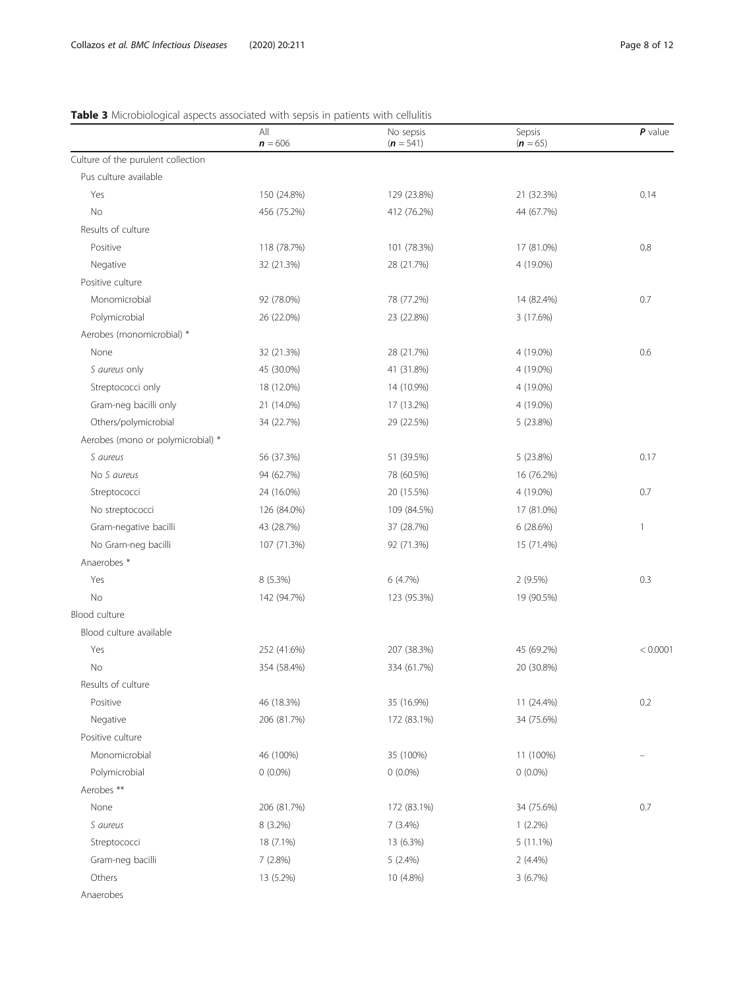## <span id="page-7-0"></span>Table 3 Microbiological aspects associated with sepsis in patients with cellulitis

|                                    | All<br>$n = 606$ | No sepsis<br>$(n = 541)$ | Sepsis<br>$(n = 65)$ | $P$ value |
|------------------------------------|------------------|--------------------------|----------------------|-----------|
| Culture of the purulent collection |                  |                          |                      |           |
| Pus culture available              |                  |                          |                      |           |
| Yes                                | 150 (24.8%)      | 129 (23.8%)              | 21 (32.3%)           | 0.14      |
| No                                 | 456 (75.2%)      | 412 (76.2%)              | 44 (67.7%)           |           |
| Results of culture                 |                  |                          |                      |           |
| Positive                           | 118 (78.7%)      | 101 (78.3%)              | 17 (81.0%)           | 0.8       |
| Negative                           | 32 (21.3%)       | 28 (21.7%)               | 4 (19.0%)            |           |
| Positive culture                   |                  |                          |                      |           |
| Monomicrobial                      | 92 (78.0%)       | 78 (77.2%)               | 14 (82.4%)           | 0.7       |
| Polymicrobial                      | 26 (22.0%)       | 23 (22.8%)               | 3 (17.6%)            |           |
| Aerobes (monomicrobial) *          |                  |                          |                      |           |
| None                               | 32 (21.3%)       | 28 (21.7%)               | 4 (19.0%)            | 0.6       |
| S aureus only                      | 45 (30.0%)       | 41 (31.8%)               | 4 (19.0%)            |           |
| Streptococci only                  | 18 (12.0%)       | 14 (10.9%)               | 4 (19.0%)            |           |
| Gram-neg bacilli only              | 21 (14.0%)       | 17 (13.2%)               | 4 (19.0%)            |           |
| Others/polymicrobial               | 34 (22.7%)       | 29 (22.5%)               | 5 (23.8%)            |           |
| Aerobes (mono or polymicrobial) *  |                  |                          |                      |           |
| S aureus                           | 56 (37.3%)       | 51 (39.5%)               | 5 (23.8%)            | 0.17      |
| No S aureus                        | 94 (62.7%)       | 78 (60.5%)               | 16 (76.2%)           |           |
| Streptococci                       | 24 (16.0%)       | 20 (15.5%)               | 4 (19.0%)            | 0.7       |
| No streptococci                    | 126 (84.0%)      | 109 (84.5%)              | 17 (81.0%)           |           |
| Gram-negative bacilli              | 43 (28.7%)       | 37 (28.7%)               | 6 (28.6%)            | 1         |
| No Gram-neg bacilli                | 107 (71.3%)      | 92 (71.3%)               | 15 (71.4%)           |           |
| Anaerobes <sup>*</sup>             |                  |                          |                      |           |
| Yes                                | $8(5.3\%)$       | 6 (4.7%)                 | 2(9.5%)              | 0.3       |
| No                                 | 142 (94.7%)      | 123 (95.3%)              | 19 (90.5%)           |           |
| Blood culture                      |                  |                          |                      |           |
| Blood culture available            |                  |                          |                      |           |
| Yes                                | 252 (41.6%)      | 207 (38.3%)              | 45 (69.2%)           | < 0.0001  |
| No                                 | 354 (58.4%)      | 334 (61.7%)              | 20 (30.8%)           |           |
| Results of culture                 |                  |                          |                      |           |
| Positive                           | 46 (18.3%)       | 35 (16.9%)               | 11 (24.4%)           | 0.2       |
| Negative                           | 206 (81.7%)      | 172 (83.1%)              | 34 (75.6%)           |           |
| Positive culture                   |                  |                          |                      |           |
| Monomicrobial                      | 46 (100%)        | 35 (100%)                | 11 (100%)            |           |
| Polymicrobial                      | $0(0.0\%)$       | $0(0.0\%)$               | $0(0.0\%)$           |           |
| Aerobes **                         |                  |                          |                      |           |
| None                               | 206 (81.7%)      | 172 (83.1%)              | 34 (75.6%)           | 0.7       |
| S aureus                           | 8 (3.2%)         | 7(3.4%)                  | $1(2.2\%)$           |           |
| Streptococci                       | 18 (7.1%)        | 13 (6.3%)                | 5 (11.1%)            |           |
| Gram-neg bacilli                   | 7(2.8%)          | 5(2.4%)                  | $2(4.4\%)$           |           |
| Others                             | 13 (5.2%)        | 10 (4.8%)                | 3(6.7%)              |           |
| Anaerobes                          |                  |                          |                      |           |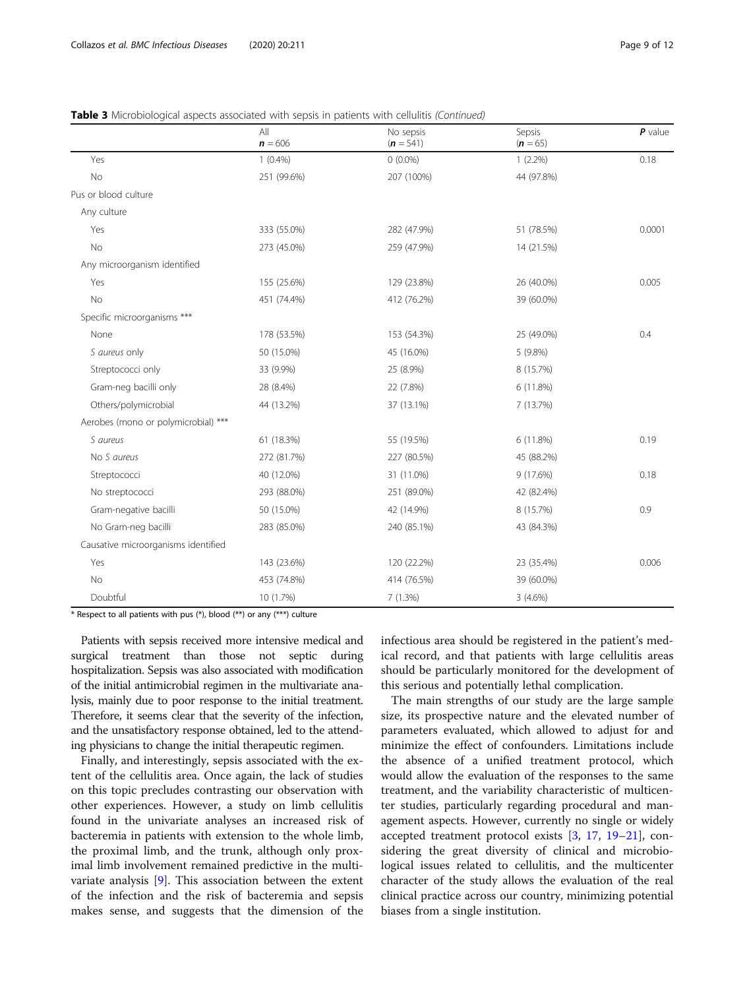Table 3 Microbiological aspects associated with sepsis in patients with cellulitis (Continued)

|                                     | All<br>$n = 606$ | No sepsis<br>$(n = 541)$ | Sepsis<br>$(n = 65)$ | $P$ value |
|-------------------------------------|------------------|--------------------------|----------------------|-----------|
| Yes                                 | $1(0.4\%)$       | $0(0.0\%)$               | $1(2.2\%)$           | 0.18      |
| <b>No</b>                           | 251 (99.6%)      | 207 (100%)               | 44 (97.8%)           |           |
| Pus or blood culture                |                  |                          |                      |           |
| Any culture                         |                  |                          |                      |           |
| Yes                                 | 333 (55.0%)      | 282 (47.9%)              | 51 (78.5%)           | 0.0001    |
| No                                  | 273 (45.0%)      | 259 (47.9%)              | 14 (21.5%)           |           |
| Any microorganism identified        |                  |                          |                      |           |
| Yes                                 | 155 (25.6%)      | 129 (23.8%)              | 26 (40.0%)           | 0.005     |
| <b>No</b>                           | 451 (74.4%)      | 412 (76.2%)              | 39 (60.0%)           |           |
| Specific microorganisms ***         |                  |                          |                      |           |
| None                                | 178 (53.5%)      | 153 (54.3%)              | 25 (49.0%)           | 0.4       |
| S aureus only                       | 50 (15.0%)       | 45 (16.0%)               | 5 (9.8%)             |           |
| Streptococci only                   | 33 (9.9%)        | 25 (8.9%)                | 8 (15.7%)            |           |
| Gram-neg bacilli only               | 28 (8.4%)        | 22 (7.8%)                | 6 (11.8%)            |           |
| Others/polymicrobial                | 44 (13.2%)       | 37 (13.1%)               | 7 (13.7%)            |           |
| Aerobes (mono or polymicrobial) *** |                  |                          |                      |           |
| S aureus                            | 61 (18.3%)       | 55 (19.5%)               | 6 (11.8%)            | 0.19      |
| No S aureus                         | 272 (81.7%)      | 227 (80.5%)              | 45 (88.2%)           |           |
| Streptococci                        | 40 (12.0%)       | 31 (11.0%)               | 9 (17.6%)            | 0.18      |
| No streptococci                     | 293 (88.0%)      | 251 (89.0%)              | 42 (82.4%)           |           |
| Gram-negative bacilli               | 50 (15.0%)       | 42 (14.9%)               | 8 (15.7%)            | 0.9       |
| No Gram-neg bacilli                 | 283 (85.0%)      | 240 (85.1%)              | 43 (84.3%)           |           |
| Causative microorganisms identified |                  |                          |                      |           |
| Yes                                 | 143 (23.6%)      | 120 (22.2%)              | 23 (35.4%)           | 0.006     |
| <b>No</b>                           | 453 (74.8%)      | 414 (76.5%)              | 39 (60.0%)           |           |
| Doubtful                            | 10 (1.7%)        | 7 (1.3%)                 | $3(4.6\%)$           |           |

\* Respect to all patients with pus (\*), blood (\*\*) or any (\*\*\*) culture

Patients with sepsis received more intensive medical and surgical treatment than those not septic during hospitalization. Sepsis was also associated with modification of the initial antimicrobial regimen in the multivariate analysis, mainly due to poor response to the initial treatment. Therefore, it seems clear that the severity of the infection, and the unsatisfactory response obtained, led to the attending physicians to change the initial therapeutic regimen.

Finally, and interestingly, sepsis associated with the extent of the cellulitis area. Once again, the lack of studies on this topic precludes contrasting our observation with other experiences. However, a study on limb cellulitis found in the univariate analyses an increased risk of bacteremia in patients with extension to the whole limb, the proximal limb, and the trunk, although only proximal limb involvement remained predictive in the multivariate analysis [\[9\]](#page-10-0). This association between the extent of the infection and the risk of bacteremia and sepsis makes sense, and suggests that the dimension of the infectious area should be registered in the patient's medical record, and that patients with large cellulitis areas should be particularly monitored for the development of this serious and potentially lethal complication.

The main strengths of our study are the large sample size, its prospective nature and the elevated number of parameters evaluated, which allowed to adjust for and minimize the effect of confounders. Limitations include the absence of a unified treatment protocol, which would allow the evaluation of the responses to the same treatment, and the variability characteristic of multicenter studies, particularly regarding procedural and management aspects. However, currently no single or widely accepted treatment protocol exists [\[3](#page-10-0), [17](#page-10-0), [19](#page-11-0)–[21](#page-11-0)], considering the great diversity of clinical and microbiological issues related to cellulitis, and the multicenter character of the study allows the evaluation of the real clinical practice across our country, minimizing potential biases from a single institution.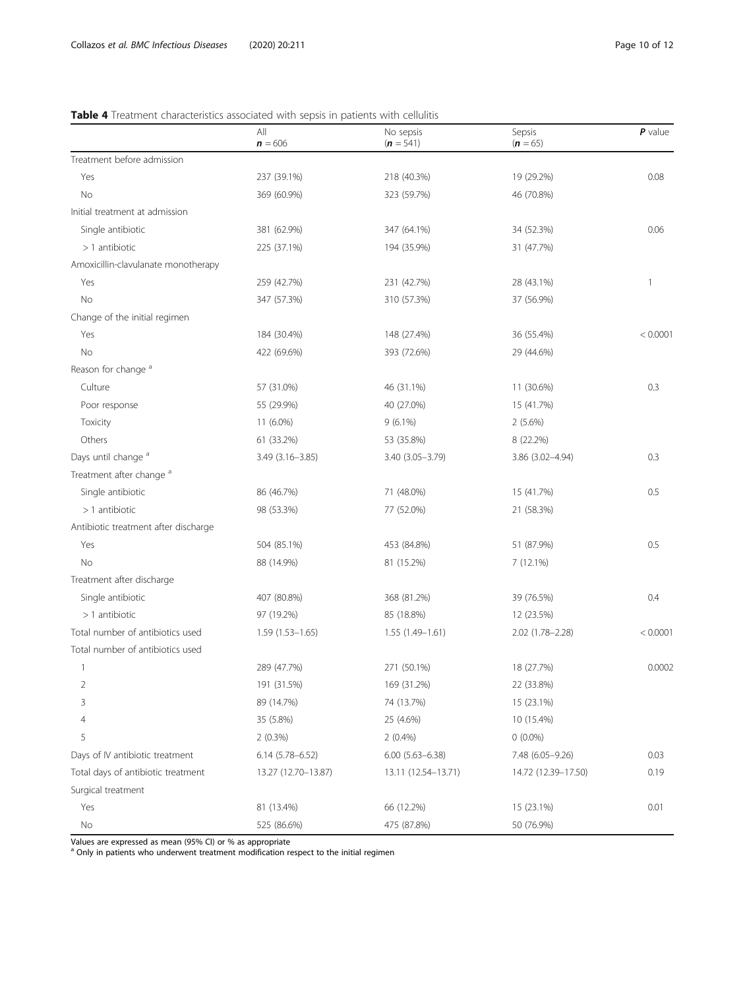## <span id="page-9-0"></span>Table 4 Treatment characteristics associated with sepsis in patients with cellulitis

|                                      | All<br>$n = 606$    | No sepsis<br>$(n = 541)$ | Sepsis<br>$(n = 65)$ | $P$ value |
|--------------------------------------|---------------------|--------------------------|----------------------|-----------|
| Treatment before admission           |                     |                          |                      |           |
| Yes                                  | 237 (39.1%)         | 218 (40.3%)              | 19 (29.2%)           | 0.08      |
| No                                   | 369 (60.9%)         | 323 (59.7%)              | 46 (70.8%)           |           |
| Initial treatment at admission       |                     |                          |                      |           |
| Single antibiotic                    | 381 (62.9%)         | 347 (64.1%)              | 34 (52.3%)           | 0.06      |
| > 1 antibiotic                       | 225 (37.1%)         | 194 (35.9%)              | 31 (47.7%)           |           |
| Amoxicillin-clavulanate monotherapy  |                     |                          |                      |           |
| Yes                                  | 259 (42.7%)         | 231 (42.7%)              | 28 (43.1%)           |           |
| No                                   | 347 (57.3%)         | 310 (57.3%)              | 37 (56.9%)           |           |
| Change of the initial regimen        |                     |                          |                      |           |
| Yes                                  | 184 (30.4%)         | 148 (27.4%)              | 36 (55.4%)           | < 0.0001  |
| No                                   | 422 (69.6%)         | 393 (72.6%)              | 29 (44.6%)           |           |
| Reason for change <sup>a</sup>       |                     |                          |                      |           |
| Culture                              | 57 (31.0%)          | 46 (31.1%)               | 11 (30.6%)           | 0.3       |
| Poor response                        | 55 (29.9%)          | 40 (27.0%)               | 15 (41.7%)           |           |
| Toxicity                             | 11 (6.0%)           | $9(6.1\%)$               | $2(5.6\%)$           |           |
| Others                               | 61 (33.2%)          | 53 (35.8%)               | 8 (22.2%)            |           |
| Days until change <sup>a</sup>       | 3.49 (3.16-3.85)    | 3.40 (3.05-3.79)         | 3.86 (3.02-4.94)     | 0.3       |
| Treatment after change <sup>a</sup>  |                     |                          |                      |           |
| Single antibiotic                    | 86 (46.7%)          | 71 (48.0%)               | 15 (41.7%)           | 0.5       |
| > 1 antibiotic                       | 98 (53.3%)          | 77 (52.0%)               | 21 (58.3%)           |           |
| Antibiotic treatment after discharge |                     |                          |                      |           |
| Yes                                  | 504 (85.1%)         | 453 (84.8%)              | 51 (87.9%)           | 0.5       |
| No                                   | 88 (14.9%)          | 81 (15.2%)               | 7(12.1%)             |           |
| Treatment after discharge            |                     |                          |                      |           |
| Single antibiotic                    | 407 (80.8%)         | 368 (81.2%)              | 39 (76.5%)           | 0.4       |
| > 1 antibiotic                       | 97 (19.2%)          | 85 (18.8%)               | 12 (23.5%)           |           |
| Total number of antibiotics used     | $1.59(1.53 - 1.65)$ | $1.55(1.49 - 1.61)$      | 2.02 (1.78-2.28)     | < 0.0001  |
| Total number of antibiotics used     |                     |                          |                      |           |
| 1                                    | 289 (47.7%)         | 271 (50.1%)              | 18 (27.7%)           | 0.0002    |
| 2                                    | 191 (31.5%)         | 169 (31.2%)              | 22 (33.8%)           |           |
| 3                                    | 89 (14.7%)          | 74 (13.7%)               | 15 (23.1%)           |           |
| 4                                    | 35 (5.8%)           | 25 (4.6%)                | 10 (15.4%)           |           |
| 5                                    | $2(0.3\%)$          | $2(0.4\%)$               | $0(0.0\%)$           |           |
| Days of IV antibiotic treatment      | $6.14(5.78 - 6.52)$ | $6.00(5.63 - 6.38)$      | 7.48 (6.05-9.26)     | 0.03      |
| Total days of antibiotic treatment   | 13.27 (12.70-13.87) | 13.11 (12.54-13.71)      | 14.72 (12.39-17.50)  | 0.19      |
| Surgical treatment                   |                     |                          |                      |           |
| Yes                                  | 81 (13.4%)          | 66 (12.2%)               | 15 (23.1%)           | 0.01      |
| No                                   | 525 (86.6%)         | 475 (87.8%)              | 50 (76.9%)           |           |

Values are expressed as mean (95% CI) or % as appropriate<br>ª Only in patients who underwent treatment modification respect to the initial regimen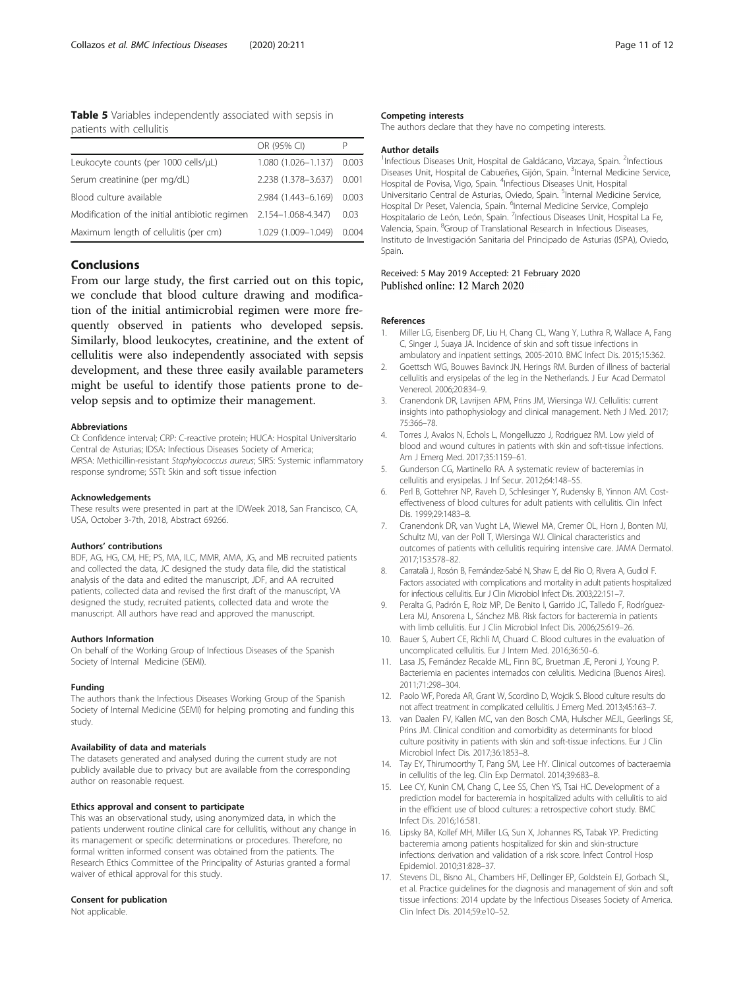<span id="page-10-0"></span>Table 5 Variables independently associated with sepsis in patients with cellulitis

|                                                | OR (95% CI)               | Ρ     |
|------------------------------------------------|---------------------------|-------|
| Leukocyte counts (per 1000 cells/µL)           | 1.080 (1.026-1.137) 0.003 |       |
| Serum creatinine (per mg/dL)                   | 2.238 (1.378-3.637) 0.001 |       |
| Blood culture available                        | 2.984 (1.443-6.169) 0.003 |       |
| Modification of the initial antibiotic regimen | 2.154-1.068-4.347)        | 0.03  |
| Maximum length of cellulitis (per cm)          | 1.029 (1.009-1.049)       | 0.004 |

## Conclusions

From our large study, the first carried out on this topic, we conclude that blood culture drawing and modification of the initial antimicrobial regimen were more frequently observed in patients who developed sepsis. Similarly, blood leukocytes, creatinine, and the extent of cellulitis were also independently associated with sepsis development, and these three easily available parameters might be useful to identify those patients prone to develop sepsis and to optimize their management.

#### Abbreviations

CI: Confidence interval; CRP: C-reactive protein; HUCA: Hospital Universitario Central de Asturias; IDSA: Infectious Diseases Society of America; MRSA: Methicillin-resistant Staphylococcus aureus; SIRS: Systemic inflammatory response syndrome; SSTI: Skin and soft tissue infection

#### Acknowledgements

These results were presented in part at the IDWeek 2018, San Francisco, CA, USA, October 3-7th, 2018, Abstract 69266.

#### Authors' contributions

BDF, AG, HG, CM, HE; PS, MA, ILC, MMR, AMA, JG, and MB recruited patients and collected the data, JC designed the study data file, did the statistical analysis of the data and edited the manuscript, JDF, and AA recruited patients, collected data and revised the first draft of the manuscript, VA designed the study, recruited patients, collected data and wrote the manuscript. All authors have read and approved the manuscript.

#### Authors Information

On behalf of the Working Group of Infectious Diseases of the Spanish Society of Internal Medicine (SEMI).

#### Funding

The authors thank the Infectious Diseases Working Group of the Spanish Society of Internal Medicine (SEMI) for helping promoting and funding this study.

#### Availability of data and materials

The datasets generated and analysed during the current study are not publicly available due to privacy but are available from the corresponding author on reasonable request.

#### Ethics approval and consent to participate

This was an observational study, using anonymized data, in which the patients underwent routine clinical care for cellulitis, without any change in its management or specific determinations or procedures. Therefore, no formal written informed consent was obtained from the patients. The Research Ethics Committee of the Principality of Asturias granted a formal waiver of ethical approval for this study.

#### Consent for publication

Not applicable.

#### Competing interests

The authors declare that they have no competing interests.

#### Author details

<sup>1</sup>Infectious Diseases Unit, Hospital de Galdácano, Vizcaya, Spain. <sup>2</sup>Infectious Diseases Unit, Hospital de Cabueñes, Gijón, Spain. <sup>3</sup>Internal Medicine Service, Hospital de Povisa, Vigo, Spain. <sup>4</sup>Infectious Diseases Unit, Hospital Universitario Central de Asturias, Oviedo, Spain. <sup>5</sup>Internal Medicine Service, Hospital Dr Peset, Valencia, Spain. <sup>6</sup>Internal Medicine Service, Complejc Hospitalario de León, León, Spain. <sup>7</sup>Infectious Diseases Unit, Hospital La Fe, Valencia, Spain. <sup>8</sup>Group of Translational Research in Infectious Diseases Instituto de Investigación Sanitaria del Principado de Asturias (ISPA), Oviedo, Spain.

#### Received: 5 May 2019 Accepted: 21 February 2020 Published online: 12 March 2020

#### References

- 1. Miller LG, Eisenberg DF, Liu H, Chang CL, Wang Y, Luthra R, Wallace A, Fang C, Singer J, Suaya JA. Incidence of skin and soft tissue infections in ambulatory and inpatient settings, 2005-2010. BMC Infect Dis. 2015;15:362.
- 2. Goettsch WG, Bouwes Bavinck JN, Herings RM. Burden of illness of bacterial cellulitis and erysipelas of the leg in the Netherlands. J Eur Acad Dermatol Venereol. 2006;20:834–9.
- 3. Cranendonk DR, Lavrijsen APM, Prins JM, Wiersinga WJ. Cellulitis: current insights into pathophysiology and clinical management. Neth J Med. 2017; 75:366–78.
- 4. Torres J, Avalos N, Echols L, Mongelluzzo J, Rodriguez RM. Low yield of blood and wound cultures in patients with skin and soft-tissue infections. Am J Emerg Med. 2017;35:1159–61.
- 5. Gunderson CG, Martinello RA. A systematic review of bacteremias in cellulitis and erysipelas. J Inf Secur. 2012;64:148–55.
- 6. Perl B, Gottehrer NP, Raveh D, Schlesinger Y, Rudensky B, Yinnon AM. Costeffectiveness of blood cultures for adult patients with cellulitis. Clin Infect Dis. 1999;29:1483–8.
- 7. Cranendonk DR, van Vught LA, Wiewel MA, Cremer OL, Horn J, Bonten MJ, Schultz MJ, van der Poll T, Wiersinga WJ. Clinical characteristics and outcomes of patients with cellulitis requiring intensive care. JAMA Dermatol. 2017;153:578–82.
- 8. Carratalà J, Rosón B, Fernández-Sabé N, Shaw E, del Rio O, Rivera A, Gudiol F. Factors associated with complications and mortality in adult patients hospitalized for infectious cellulitis. Eur J Clin Microbiol Infect Dis. 2003;22:151–7.
- 9. Peralta G, Padrón E, Roiz MP, De Benito I, Garrido JC, Talledo F, Rodríguez-Lera MJ, Ansorena L, Sánchez MB. Risk factors for bacteremia in patients with limb cellulitis. Eur J Clin Microbiol Infect Dis. 2006;25:619–26.
- 10. Bauer S, Aubert CE, Richli M, Chuard C. Blood cultures in the evaluation of uncomplicated cellulitis. Eur J Intern Med. 2016;36:50–6.
- 11. Lasa JS, Fernández Recalde ML, Finn BC, Bruetman JE, Peroni J, Young P. Bacteriemia en pacientes internados con celulitis. Medicina (Buenos Aires). 2011;71:298–304.
- 12. Paolo WF, Poreda AR, Grant W, Scordino D, Wojcik S. Blood culture results do not affect treatment in complicated cellulitis. J Emerg Med. 2013;45:163–7.
- 13. van Daalen FV, Kallen MC, van den Bosch CMA, Hulscher MEJL, Geerlings SE, Prins JM. Clinical condition and comorbidity as determinants for blood culture positivity in patients with skin and soft-tissue infections. Eur J Clin Microbiol Infect Dis. 2017;36:1853–8.
- 14. Tay EY, Thirumoorthy T, Pang SM, Lee HY. Clinical outcomes of bacteraemia in cellulitis of the leg. Clin Exp Dermatol. 2014;39:683–8.
- 15. Lee CY, Kunin CM, Chang C, Lee SS, Chen YS, Tsai HC. Development of a prediction model for bacteremia in hospitalized adults with cellulitis to aid in the efficient use of blood cultures: a retrospective cohort study. BMC Infect Dis. 2016;16:581.
- 16. Lipsky BA, Kollef MH, Miller LG, Sun X, Johannes RS, Tabak YP. Predicting bacteremia among patients hospitalized for skin and skin-structure infections: derivation and validation of a risk score. Infect Control Hosp Epidemiol. 2010;31:828–37.
- 17. Stevens DL, Bisno AL, Chambers HF, Dellinger EP, Goldstein EJ, Gorbach SL, et al. Practice guidelines for the diagnosis and management of skin and soft tissue infections: 2014 update by the Infectious Diseases Society of America. Clin Infect Dis. 2014;59:e10–52.